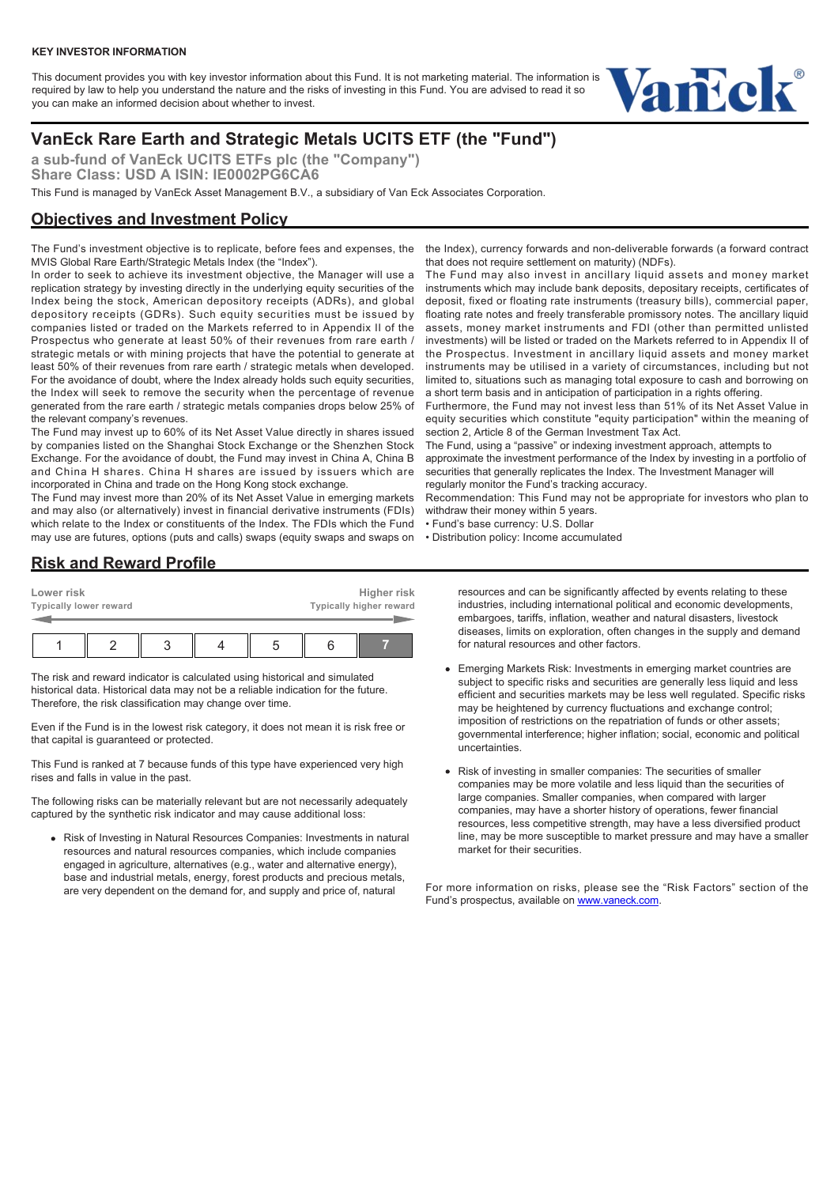This document provides you with key investor information about this Fund. It is not marketing material. The information is required by law to help you understand the nature and the risks of investing in this Fund. You are advised to read it so you can make an informed decision about whether to invest.



# **VanEck Rare Earth and Strategic Metals UCITS ETF (the "Fund")**

**a sub-fund of VanEck UCITS ETFs plc (the "Company") Share Class: USD A ISIN: IE0002PG6CA6**

This Fund is managed by VanEck Asset Management B.V., a subsidiary of Van Eck Associates Corporation.

### **Objectives and Investment Policy**

The Fund's investment objective is to replicate, before fees and expenses, the MVIS Global Rare Earth/Strategic Metals Index (the "Index").

In order to seek to achieve its investment objective, the Manager will use a replication strategy by investing directly in the underlying equity securities of the Index being the stock, American depository receipts (ADRs), and global depository receipts (GDRs). Such equity securities must be issued by companies listed or traded on the Markets referred to in Appendix II of the Prospectus who generate at least 50% of their revenues from rare earth / strategic metals or with mining projects that have the potential to generate at least 50% of their revenues from rare earth / strategic metals when developed. For the avoidance of doubt, where the Index already holds such equity securities, the Index will seek to remove the security when the percentage of revenue generated from the rare earth / strategic metals companies drops below 25% of the relevant company's revenues.

The Fund may invest up to 60% of its Net Asset Value directly in shares issued by companies listed on the Shanghai Stock Exchange or the Shenzhen Stock Exchange. For the avoidance of doubt, the Fund may invest in China A, China B and China H shares. China H shares are issued by issuers which are incorporated in China and trade on the Hong Kong stock exchange.

The Fund may invest more than 20% of its Net Asset Value in emerging markets and may also (or alternatively) invest in financial derivative instruments (FDIs) which relate to the Index or constituents of the Index. The FDIs which the Fund may use are futures, options (puts and calls) swaps (equity swaps and swaps on

the Index), currency forwards and non-deliverable forwards (a forward contract that does not require settlement on maturity) (NDFs).

The Fund may also invest in ancillary liquid assets and money market instruments which may include bank deposits, depositary receipts, certificates of deposit, fixed or floating rate instruments (treasury bills), commercial paper, floating rate notes and freely transferable promissory notes. The ancillary liquid assets, money market instruments and FDI (other than permitted unlisted investments) will be listed or traded on the Markets referred to in Appendix II of the Prospectus. Investment in ancillary liquid assets and money market instruments may be utilised in a variety of circumstances, including but not limited to, situations such as managing total exposure to cash and borrowing on a short term basis and in anticipation of participation in a rights offering.

Furthermore, the Fund may not invest less than 51% of its Net Asset Value in equity securities which constitute "equity participation" within the meaning of section 2, Article 8 of the German Investment Tax Act.

The Fund, using a "passive" or indexing investment approach, attempts to approximate the investment performance of the Index by investing in a portfolio of securities that generally replicates the Index. The Investment Manager will regularly monitor the Fund's tracking accuracy.

Recommendation: This Fund may not be appropriate for investors who plan to withdraw their money within 5 years.

- Fund's base currency: U.S. Dollar
- Distribution policy: Income accumulated

# **Risk and Reward Profile**

| Lower risk                    | Higher risk             |
|-------------------------------|-------------------------|
| <b>Typically lower reward</b> | Typically higher reward |
|                               |                         |
|                               |                         |

The risk and reward indicator is calculated using historical and simulated historical data. Historical data may not be a reliable indication for the future. Therefore, the risk classification may change over time.

Even if the Fund is in the lowest risk category, it does not mean it is risk free or that capital is guaranteed or protected.

This Fund is ranked at 7 because funds of this type have experienced very high rises and falls in value in the past.

The following risks can be materially relevant but are not necessarily adequately captured by the synthetic risk indicator and may cause additional loss:

Risk of Investing in Natural Resources Companies: Investments in natural resources and natural resources companies, which include companies engaged in agriculture, alternatives (e.g., water and alternative energy), base and industrial metals, energy, forest products and precious metals, are very dependent on the demand for, and supply and price of, natural

resources and can be significantly affected by events relating to these industries, including international political and economic developments, embargoes, tariffs, inflation, weather and natural disasters, livestock diseases, limits on exploration, often changes in the supply and demand for natural resources and other factors.

- Emerging Markets Risk: Investments in emerging market countries are subject to specific risks and securities are generally less liquid and less efficient and securities markets may be less well regulated. Specific risks may be heightened by currency fluctuations and exchange control; imposition of restrictions on the repatriation of funds or other assets; governmental interference; higher inflation; social, economic and political uncertainties.
- Risk of investing in smaller companies: The securities of smaller companies may be more volatile and less liquid than the securities of large companies. Smaller companies, when compared with larger companies, may have a shorter history of operations, fewer financial resources, less competitive strength, may have a less diversified product line, may be more susceptible to market pressure and may have a smaller market for their securities.

For more information on risks, please see the "Risk Factors" section of the Fund's prospectus, available on [www.vaneck.com.](https://www.vaneck.com)